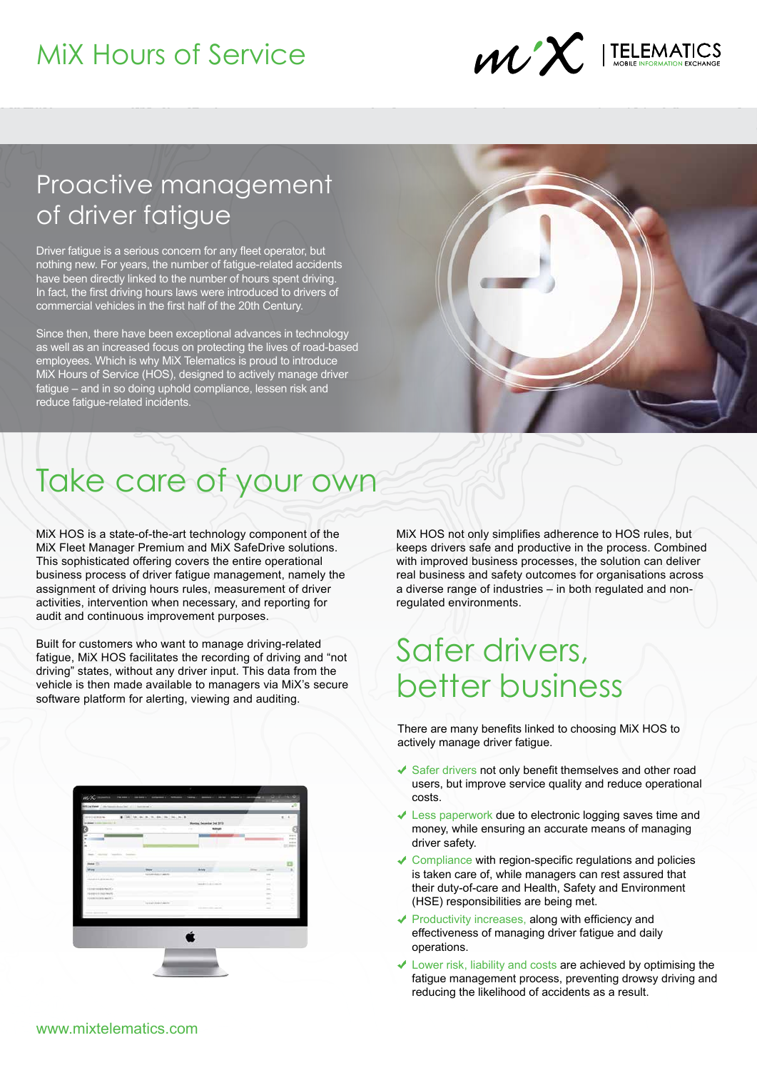## MiX Hours of Service



### Proactive management of driver fatigue

Driver fatigue is a serious concern for any fleet operator, but nothing new. For years, the number of fatigue-related accidents have been directly linked to the number of hours spent driving. In fact, the first driving hours laws were introduced to drivers of commercial vehicles in the first half of the 20th Century.

Since then, there have been exceptional advances in technology as well as an increased focus on protecting the lives of road-based employees. Which is why MiX Telematics is proud to introduce Mix Hours of Service (HOS), designed to actively manage driver fatigue – and in so doing uphold compliance, lessen risk and reduce fatigue-related incidents.



# Take care of your own

MiX HOS is a state-of-the-art technology component of the MiX Fleet Manager Premium and MiX SafeDrive solutions. This sophisticated offering covers the entire operational business process of driver fatigue management, namely the assignment of driving hours rules, measurement of driver activities, intervention when necessary, and reporting for audit and continuous improvement purposes.

Built for customers who want to manage driving-related fatigue, MiX HOS facilitates the recording of driving and "not driving" states, without any driver input. This data from the vehicle is then made available to managers via MiX's secure software platform for alerting, viewing and auditing.

MiX HOS not only simplifies adherence to HOS rules, but keeps drivers safe and productive in the process. Combined with improved business processes, the solution can deliver real business and safety outcomes for organisations across a diverse range of industries – in both regulated and nonregulated environments.

## Safer drivers, better business

There are many benefits linked to choosing MiX HOS to actively manage driver fatigue.

- $\checkmark$  Safer drivers not only benefit themselves and other road users, but improve service quality and reduce operational costs.
- $\sqrt{\ }$  Less paperwork due to electronic logging saves time and money, while ensuring an accurate means of managing driver safety.
- $\sqrt{\ }$  Compliance with region-specific regulations and policies is taken care of, while managers can rest assured that their duty-of-care and Health, Safety and Environment (HSE) responsibilities are being met.
- $\sqrt{\ }$  Productivity increases, along with efficiency and effectiveness of managing driver fatigue and daily operations.
- Lower risk, liability and costs are achieved by optimising the fatigue management process, preventing drowsy driving and reducing the likelihood of accidents as a result.